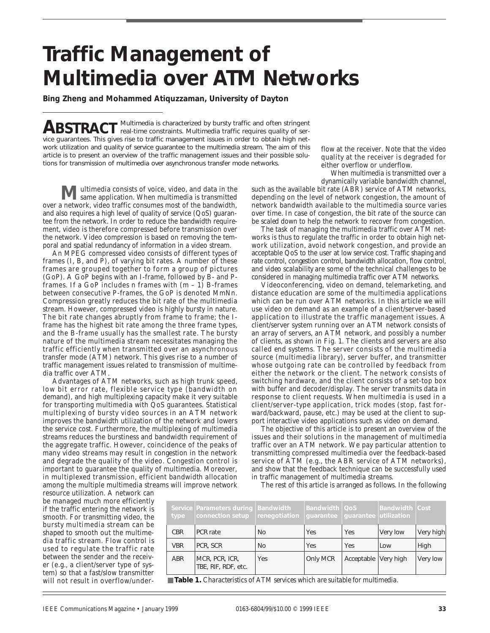# **Traffic Management of Multimedia over ATM Networks**

*Bing Zheng and Mohammed Atiquzzaman, University of Dayton*

Multimedia is characterized by bursty traffic and often stringent ABSTRACT Multimedia is characterized by bursty traffic and often stringent **ABSTRACT** real-time constraints. Multimedia traffic requires quality of service guarantees. This gives rise to traffic management issues in order to obtain high network utilization and quality of service guarantee to the multimedia stream. The aim of this article is to present an overview of the traffic management issues and their possible solutions for transmission of multimedia over asynchronous transfer mode networks.

ultimedia consists of voice, video, and data in the same application. When multimedia is transmitted **M** ultimedia consists of voice, video, and data in the over a network, video traffic consumes most of the bandwidth, and also requires a high level of quality of service (QoS) guarantee from the network. In order to reduce the bandwidth requirement, video is therefore compressed before transmission over the network. Video compression is based on removing the temporal and spatial redundancy of information in a video stream.

An MPEG compressed video consists of different types of frames (I, B, and P), of varying bit rates. A number of these frames are grouped together to form a group of pictures (GoP). A GoP begins with an I-frame, followed by B- and Pframes. If a GoP includes *n* frames with (*m* – 1) B-frames between consecutive P-frames, the GoP is denoted *MmNn*. Compression greatly reduces the bit rate of the multimedia stream. However, compressed video is highly bursty in nature. The bit rate changes abruptly from frame to frame; the Iframe has the highest bit rate among the three frame types, and the B-frame usually has the smallest rate. The bursty nature of the multimedia stream necessitates managing the traffic efficiently when transmitted over an asynchronous transfer mode (ATM) network. This gives rise to a number of traffic management issues related to transmission of multimedia traffic over ATM.

Advantages of ATM networks, such as high trunk speed, low bit error rate, flexible service type (bandwidth on demand), and high multiplexing capacity make it very suitable for transporting multimedia with QoS guarantees. Statistical multiplexing of bursty video sources in an ATM network improves the bandwidth utilization of the network and lowers the service cost. Furthermore, the multiplexing of multimedia streams reduces the burstiness and bandwidth requirement of the aggregate traffic. However, coincidence of the peaks of many video streams may result in *congestion* in the network and degrade the quality of the video. Congestion control is important to guarantee the quality of multimedia. Moreover, in multiplexed transmission, efficient *bandwidth allocation* among the multiple multimedia streams will improve network

resource utilization. A network can be managed much more efficiently if the traffic entering the network is smooth. For transmitting video, the bursty multimedia stream can be *shaped* to smooth out the multimedia traffic stream. *Flow control* is used to regulate the traffic rate between the sender and the receiver (e.g., a client/server type of system) so that a fast/slow transmitter will not result in overflow/under-

flow at the receiver. Note that the video quality at the receiver is degraded for either overflow or underflow.

When multimedia is transmitted over a dynamically variable bandwidth channel,

such as the available bit rate (ABR) service of ATM networks, depending on the level of network congestion, the amount of network bandwidth available to the multimedia source varies over time. In case of congestion, the bit rate of the source can be *scaled* down to help the network to recover from congestion.

The task of managing the multimedia traffic over ATM networks is thus to regulate the traffic in order to obtain high network utilization, avoid network congestion, and provide an acceptable QoS to the user at low service cost. *Traffic shaping* and *rate control*, *congestion control*, *bandwidth allocation*, *flow control*, and *video scalability* are some of the technical challenges to be considered in managing multimedia traffic over ATM networks.

Videoconferencing, video on demand, telemarketing, and distance education are some of the multimedia applications which can be run over ATM networks. In this article we will use video on demand as an example of a client/server-based application to illustrate the traffic management issues. A client/server system running over an ATM network consists of an array of servers, an ATM network, and possibly a number of clients, as shown in Fig. 1. The clients and servers are also called *end systems*. The server consists of the multimedia source (multimedia library), server buffer, and transmitter whose outgoing rate can be controlled by feedback from either the network or the client. The network consists of switching hardware, and the client consists of a set-top box with buffer and decoder/display. The server transmits data in response to client requests. When multimedia is used in a client/server-type application, trick modes (stop, fast forward/backward, pause, etc.) may be used at the client to support interactive video applications such as video on demand.

The objective of this article is to present an overview of the issues and their solutions in the management of multimedia traffic over an ATM network. We pay particular attention to transmitting compressed multimedia over the feedback-based service of ATM (e.g., the ABR service of ATM networks), and show that the feedback technique can be successfully used in traffic management of multimedia streams.

The rest of this article is arranged as follows. In the following

| type       | Service Parameters during   Bandwidth<br>connection setup | renegotiation  | <b>Bandwidth   QoS</b><br>quarantee quarantee utilization |                        | <b>Bandwidth Cost</b> |           |
|------------|-----------------------------------------------------------|----------------|-----------------------------------------------------------|------------------------|-----------------------|-----------|
| <b>CBR</b> | <b>PCR</b> rate                                           | No             | Yes                                                       | Yes                    | Very low              | Very high |
| <b>VBR</b> | PCR, SCR                                                  | N <sub>O</sub> | Yes                                                       | Yes                    | Low                   | High      |
| <b>ABR</b> | MCR, PCR, ICR,<br>TBE, RIF, RDF, etc.                     | Yes            | Only MCR                                                  | Acceptable   Very high |                       | Very low  |

■ **Table 1.** *Characteristics of ATM services which are suitable for multimedia.*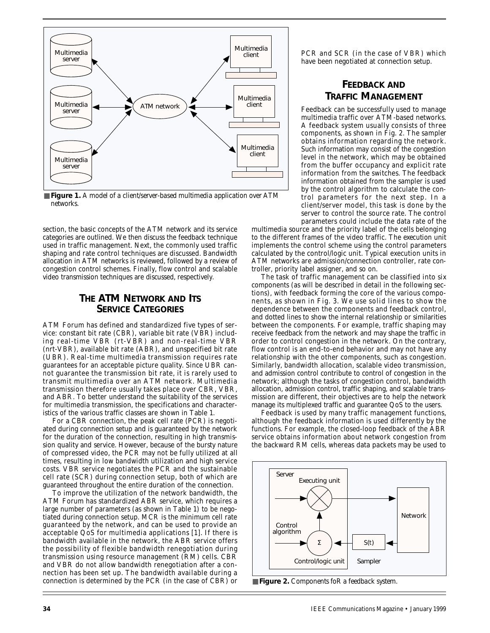

■ **Figure 1.** *A model of a client/server-based multimedia application over ATM networks.*

section, the basic concepts of the ATM network and its service categories are outlined. We then discuss the feedback technique used in traffic management. Next, the commonly used traffic shaping and rate control techniques are discussed. Bandwidth allocation in ATM networks is reviewed, followed by a review of congestion control schemes. Finally, flow control and scalable video transmission techniques are discussed, respectively.

# **THE ATM NETWORK AND ITS SERVICE CATEGORIES**

ATM Forum has defined and standardized five types of service: constant bit rate (CBR), variable bit rate (VBR) including real-time VBR (rt-VBR) and non-real-time VBR (nrt-VBR), available bit rate (ABR), and unspecified bit rate (UBR). Real-time multimedia transmission requires rate guarantees for an acceptable picture quality. Since UBR cannot guarantee the transmission bit rate, it is rarely used to transmit multimedia over an ATM network. Multimedia transmission therefore usually takes place over CBR, VBR, and ABR. To better understand the suitability of the services for multimedia transmission, the specifications and characteristics of the various traffic classes are shown in Table 1.

For a CBR connection, the peak cell rate (PCR) is negotiated during connection setup and is guaranteed by the network for the duration of the connection, resulting in high transmission quality and service. However, because of the bursty nature of compressed video, the PCR may not be fully utilized at all times, resulting in low bandwidth utilization and high service costs. VBR service negotiates the PCR and the sustainable cell rate (SCR) during connection setup, both of which are guaranteed throughout the entire duration of the connection.

To improve the utilization of the network bandwidth, the ATM Forum has standardized ABR service, which requires a large number of parameters (as shown in Table 1) to be negotiated during connection setup. MCR is the minimum cell rate guaranteed by the network, and can be used to provide an acceptable QoS for multimedia applications [1]. If there is bandwidth available in the network, the ABR service offers the possibility of flexible bandwidth renegotiation during transmission using resource management (RM) cells. CBR and VBR do not allow bandwidth renegotiation after a connection has been set up. The bandwidth available during a connection is determined by the PCR (in the case of CBR) or PCR and SCR (in the case of VBR) which have been negotiated at connection setup.

# **FEEDBACK AND TRAFFIC MANAGEMENT**

Feedback can be successfully used to manage multimedia traffic over ATM-based networks. A feedback system usually consists of three components, as shown in Fig. 2. The *sampler* obtains information regarding the network. Such information may consist of the congestion level in the network, which may be obtained from the buffer occupancy and explicit rate information from the switches. The feedback information obtained from the sampler is used by the control algorithm to calculate the control parameters for the next step. In a client/server model, this task is done by the server to control the source rate. The control parameters could include the data rate of the

multimedia source and the priority label of the cells belonging to the different frames of the video traffic. The *execution unit* implements the control scheme using the control parameters calculated by the control/logic unit. Typical execution units in ATM networks are admission/connection controller, rate controller, priority label assigner, and so on.

The task of traffic management can be classified into six components (as will be described in detail in the following sections), with feedback forming the core of the various components, as shown in Fig. 3. We use solid lines to show the dependence between the components and feedback control, and dotted lines to show the internal relationship or similarities between the components. For example, traffic shaping may receive feedback from the network and may shape the traffic in order to control congestion in the network. On the contrary, flow control is an end-to-end behavior and may not have any relationship with the other components, such as congestion. Similarly, bandwidth allocation, scalable video transmission, and admission control contribute to control of congestion in the network; although the tasks of congestion control, bandwidth allocation, admission control, traffic shaping, and scalable transmission are different, their objectives are to help the network manage its multiplexed traffic and guarantee QoS to the users.

Feedback is used by many traffic management functions, although the feedback information is used differently by the functions. For example, the closed-loop feedback of the ABR service obtains information about network congestion from the backward RM cells, whereas data packets may be used to



■ **Figure 2.** *Components foR a feedback system.*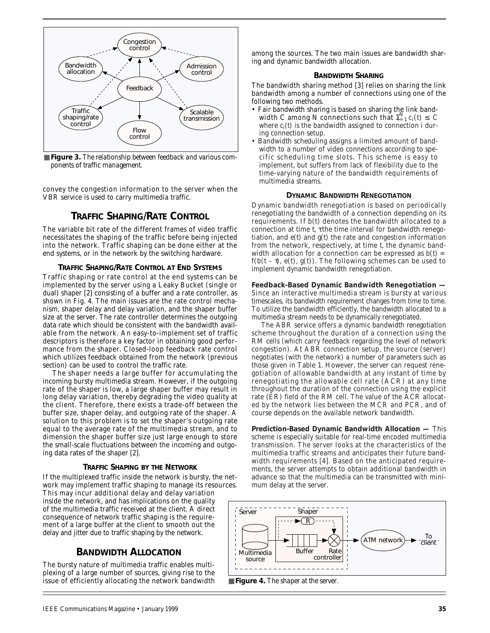

■ **Figure 3**. *The relationship between feedback and various components of traffic management.*

convey the congestion information to the server when the VBR service is used to carry multimedia traffic.

# **TRAFFIC SHAPING/RATE CONTROL**

The variable bit rate of the different frames of video traffic necessitates the shaping of the traffic before being injected into the network. Traffic shaping can be done either at the end systems, or in the network by the switching hardware.

## **TRAFFIC SHAPING/RATE CONTROL AT END SYSTEMS**

Traffic shaping or rate control at the end systems can be implemented by the server using a Leaky Bucket (single or dual) shaper [2] consisting of a buffer and a rate controller, as shown in Fig. 4. The main issues are the rate control mechanism, shaper delay and delay variation, and the shaper buffer size at the server. The rate controller determines the outgoing data rate which should be consistent with the bandwidth available from the network. An easy-to-implement set of traffic descriptors is therefore a key factor in obtaining good performance from the shaper. Closed-loop feedback rate control which utilizes feedback obtained from the network (previous section) can be used to control the traffic rate.

The shaper needs a large buffer for accumulating the incoming bursty multimedia stream. However, if the outgoing rate of the shaper is low, a large shaper buffer may result in long delay variation, thereby degrading the video quality at the client. Therefore, there exists a trade-off between the buffer size, shaper delay, and outgoing rate of the shaper. A solution to this problem is to set the shaper's outgoing rate equal to the average rate of the multimedia stream, and to dimension the shaper buffer size just large enough to store the small-scale fluctuations between the incoming and outgoing data rates of the shaper [2].

## **TRAFFIC SHAPING BY THE NETWORK**

If the multiplexed traffic inside the network is bursty, the network may implement traffic shaping to manage its resources.

This may incur additional delay and delay variation inside the network, and has implications on the quality of the multimedia traffic received at the client. A direct consequence of network traffic shaping is the requirement of a large buffer at the client to smooth out the delay and jitter due to traffic shaping by the network.

# **BANDWIDTH ALLOCATION**

The bursty nature of multimedia traffic enables multiplexing of a large number of sources, giving rise to the issue of efficiently allocating the network bandwidth among the sources. The two main issues are bandwidth sharing and dynamic bandwidth allocation.

#### **BANDWIDTH SHARING**

The bandwidth sharing method [3] relies on sharing the link bandwidth among a number of connections using one of the following two methods.

- *Fair bandwidth sharing* is based on sharing the link bandwidth *C* among *N* connections such that  $\sum_{i=1}^{N} c_i(t) \leq C$ where *ci* (*t*) is the bandwidth assigned to connection *i* during connection setup.
- *Bandwidth scheduling* assigns a limited amount of bandwidth to a number of video connections according to specific scheduling time slots. This scheme is easy to implement, but suffers from lack of flexibility due to the time-varying nature of the bandwidth requirements of multimedia streams.

#### **DYNAMIC BANDWIDTH RENEGOTIATION**

Dynamic bandwidth renegotiation is based on periodically renegotiating the bandwidth of a connection depending on its requirements. If *b*(*t*) denotes the bandwidth allocated to a connection at time *t*, τ the time interval for bandwidth renegotiation, and  $e(t)$  and  $g(t)$  the rate and congestion information from the network, respectively, at time *t*, the dynamic bandwidth allocation for a connection can be expressed as  $b(t)$  =  $f(b(t - \phi, e(t), g(t))$ . The following schemes can be used to implement dynamic bandwidth renegotiation.

*Feedback-Based Dynamic Bandwidth Renegotiation —* Since an interactive multimedia stream is bursty at various timescales, its bandwidth requirement changes from time to time. To utilize the bandwidth efficiently, the bandwidth allocated to a multimedia stream needs to be dynamically renegotiated.

The ABR service offers a dynamic *bandwidth renegotiation* scheme throughout the duration of a connection using the RM cells (which carry feedback regarding the level of network congestion). At ABR connection setup, the source (server) negotiates (with the network) a number of parameters such as those given in Table 1. However, the server can request renegotiation of allowable bandwidth at any instant of time by renegotiating the allowable cell rate (ACR) at any time throughout the duration of the connection using the explicit rate (ER) field of the RM cell. The value of the ACR allocated by the network lies between the MCR and PCR, and of course depends on the available network bandwidth.

*Prediction-Based Dynamic Bandwidth Allocation —* This scheme is especially suitable for real-time encoded multimedia transmission. The server looks at the characteristics of the multimedia traffic streams and anticipates their future bandwidth requirements [4]. Based on the anticipated requirements, the server attempts to obtain additional bandwidth in advance so that the multimedia can be transmitted with minimum delay at the server.

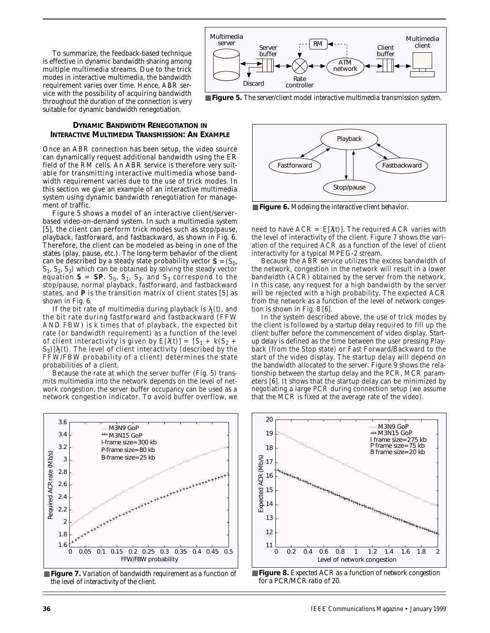To summarize, the feedback-based technique is effective in dynamic bandwidth sharing among multiple multimedia streams. Due to the trick modes in interactive multimedia, the bandwidth requirement varies over time. Hence, ABR service with the possibility of acquiring bandwidth throughout the duration of the connection is very suitable for dynamic bandwidth renegotiation.



■ **Figure 5.** *The server/client model interactive multimedia transmission system.* 

# **DYNAMIC BANDWIDTH RENEGOTIATION IN INTERACTIVE MULTIMEDIA TRANSMISSION: AN EXAMPLE**

Once an ABR connection has been setup, the video source can dynamically request additional bandwidth using the ER field of the RM cells. An ABR service is therefore very suitable for transmitting interactive multimedia whose bandwidth requirement varies due to the use of trick modes. In this section we give an example of an interactive multimedia system using dynamic bandwidth renegotiation for management of traffic.

Figure 5 shows a model of an interactive client/serverbased video-on-demand system. In such a multimedia system [5], the client can perform trick modes such as stop/pause, playback, fastforward, and fastbackward, as shown in Fig. 6. Therefore, the client can be modeled as being in one of the states (play, pause, etc.). The long-term behavior of the client can be described by a steady state probability vector  $S = (S_0, S_1, S_2)$ *S*1, *S*2, *S*3) which can be obtained by solving the steady vector equation  $S = SP$ .  $S_0$ ,  $S_1$ ,  $S_2$ , and  $S_3$  correspond to the stop/pause, normal playback, fastforward, and fastbackward states, and **P** is the transition matrix of client states [5] as shown in Fig. 6.

If the bit rate of multimedia during playback is  $\lambda_i(t)$ , and the bit rate during fastforward and fastbackward (FFW AND FBW) is *k* times that of playback, the expected bit rate (or bandwidth requirement) as a function of the level of client interactivity is given by  $E[\lambda(t)] = [S_1 + k(S_2 +$  $S_3$ ] $\lambda$ <sub>1</sub>(*t*). The level of client interactivity (described by the FFW/FBW probability of a client) determines the state probabilities of a client.

Because the rate at which the server buffer (Fig. 5) transmits multimedia into the network depends on the level of network congestion, the server buffer occupancy can be used as a network congestion indicator. To avoid buffer overflow, we



■ **Figure 7.** *Variation of bandwidth requirement as a function of the level of interactivity of the client.*



■ **Figure 6.** *Modeling the interactive client behavior.*

need to have  $ACR = E[\lambda(t)]$ . The required ACR varies with the level of interactivity of the client. Figure 7 shows the variation of the required ACR as a function of the level of client interactivity for a typical MPEG-2 stream.

Because the ABR service utilizes the excess bandwidth of the network, congestion in the network will result in a lower bandwidth (ACR) obtained by the server from the network. In this case, any request for a high bandwidth by the server will be rejected with a high probability. The expected ACR from the network as a function of the level of network congestion is shown in Fig. 8 [6].

In the system described above, the use of trick modes by the client is followed by a *startup delay* required to fill up the client buffer before the commencement of video display. *Startup delay* is defined as the time between the user pressing Playback (from the Stop state) or Fast Forward/Backward to the start of the video display. The startup delay will depend on the bandwidth allocated to the server. Figure 9 shows the relationship between the startup delay and the PCR, MCR parameters [6]. It shows that the startup delay can be minimized by negotiating a large PCR during connection setup (we assume that the MCR is fixed at the average rate of the video).



■ **Figure 8.** *Expected ACR as a function of network congestion for a PCR/MCR ratio of 20.*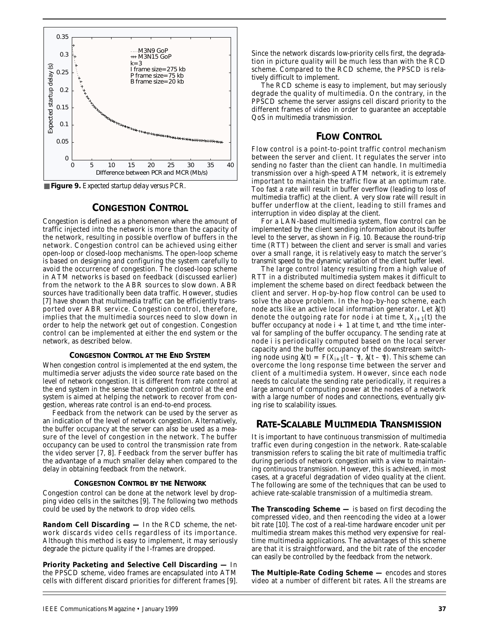

■ **Figure 9.** *Expected startup delay versus PCR.*

# **CONGESTION CONTROL**

Congestion is defined as a phenomenon where the amount of traffic injected into the network is more than the capacity of the network, resulting in possible overflow of buffers in the network. Congestion control can be achieved using either open-loop or closed-loop mechanisms. The open-loop scheme is based on designing and configuring the system carefully to avoid the occurrence of congestion. The closed-loop scheme in ATM networks is based on feedback (discussed earlier) from the network to the ABR sources to slow down. ABR sources have traditionally been data traffic. However, studies [7] have shown that multimedia traffic can be efficiently transported over ABR service. Congestion control, therefore, implies that the multimedia sources need to slow down in order to help the network get out of congestion. Congestion control can be implemented at either the end system or the network, as described below.

## **CONGESTION CONTROL AT THE END SYSTEM**

When congestion control is implemented at the end system, the multimedia server adjusts the video source rate based on the level of network congestion. It is different from rate control at the end system in the sense that congestion control at the end system is aimed at helping the network to recover from congestion, whereas rate control is an end-to-end process.

Feedback from the network can be used by the server as an indication of the level of network congestion. Alternatively, the buffer occupancy at the server can also be used as a measure of the level of congestion in the network. The buffer occupancy can be used to control the transmission rate from the video server [7, 8]. Feedback from the server buffer has the advantage of a much smaller delay when compared to the delay in obtaining feedback from the network.

## **CONGESTION CONTROL BY THE NETWORK**

Congestion control can be done at the network level by dropping video cells in the switches [9]. The following two methods could be used by the network to drop video cells.

*Random Cell Discarding —* In the RCD scheme, the network discards video cells regardless of its importance. Although this method is easy to implement, it may seriously degrade the picture quality if the I-frames are dropped.

*Priority Packeting and Selective Cell Discarding —* In the PPSCD scheme, video frames are encapsulated into ATM cells with different discard priorities for different frames [9]. Since the network discards low-priority cells first, the degradation in picture quality will be much less than with the RCD scheme. Compared to the RCD scheme, the PPSCD is relatively difficult to implement.

The RCD scheme is easy to implement, but may seriously degrade the quality of multimedia. On the contrary, in the PPSCD scheme the server assigns cell discard priority to the different frames of video in order to guarantee an acceptable QoS in multimedia transmission.

# **FLOW CONTROL**

Flow control is a point-to-point traffic control mechanism between the server and client. It regulates the server into sending no faster than the client can handle. In multimedia transmission over a high-speed ATM network, it is extremely important to maintain the traffic flow at an optimum rate. Too fast a rate will result in buffer overflow (leading to loss of multimedia traffic) at the client. A very slow rate will result in buffer underflow at the client, leading to still frames and interruption in video display at the client.

For a LAN-based multimedia system, flow control can be implemented by the client sending information about its buffer level to the server, as shown in Fig. 10. Because the round-trip time (RTT) between the client and server is small and varies over a small range, it is relatively easy to match the server's transmit speed to the dynamic variation of the client buffer level.

The large control latency resulting from a high value of RTT in a distributed multimedia system makes it difficult to implement the scheme based on direct feedback between the client and server. Hop-by-hop flow control can be used to solve the above problem. In the hop-by-hop scheme, each node acts like an active local information generator. Let λ*i*(*t*) denote the outgoing rate for node *i* at time *t*,  $X_{i+1}(t)$  the buffer occupancy at node  $i + 1$  at time  $t$ , and  $\tau$ the time interval for sampling of the buffer occupancy. The sending rate at node *i* is periodically computed based on the local server capacity and the buffer occupancy of the downstream switching node using  $\lambda_i(t) = F(X_{i+1}(t - \phi), \lambda_i(t - \phi))$ . This scheme can overcome the long response time between the server and client of a multimedia system. However, since each node needs to calculate the sending rate periodically, it requires a large amount of computing power at the nodes of a network with a large number of nodes and connections, eventually giving rise to scalability issues.

# **RATE-SCALABLE MULTIMEDIA TRANSMISSION**

It is important to have continuous transmission of multimedia traffic even during congestion in the network. *Rate-scalable transmission* refers to scaling the bit rate of multimedia traffic during periods of network congestion with a view to maintaining continuous transmission. However, this is achieved, in most cases, at a graceful degradation of video quality at the client. The following are some of the techniques that can be used to achieve rate-scalable transmission of a multimedia stream.

*The Transcoding Scheme —* is based on first decoding the compressed video, and then reencoding the video at a lower bit rate [10]. The cost of a real-time hardware encoder unit per multimedia stream makes this method very expensive for realtime multimedia applications. The advantages of this scheme are that it is straightforward, and the bit rate of the encoder can easily be controlled by the feedback from the network.

*The Multiple-Rate Coding Scheme —* encodes and stores video at a number of different bit rates. All the streams are